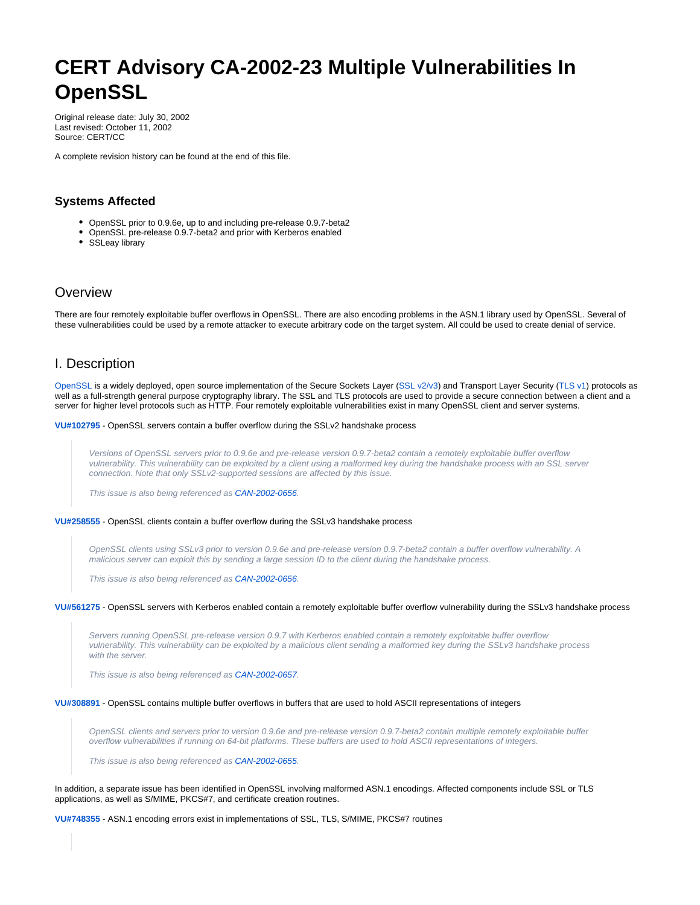# <span id="page-0-0"></span>**CERT Advisory CA-2002-23 Multiple Vulnerabilities In OpenSSL**

Original release date: July 30, 2002 Last revised: October 11, 2002 Source: CERT/CC

A complete revision history can be found at the end of this file.

# **Systems Affected**

- OpenSSL prior to 0.9.6e, up to and including pre-release 0.9.7-beta2
- OpenSSL pre-release 0.9.7-beta2 and prior with Kerberos enabled
- SSLeay library

# **Overview**

There are four remotely exploitable buffer overflows in OpenSSL. There are also encoding problems in the ASN.1 library used by OpenSSL. Several of these vulnerabilities could be used by a remote attacker to execute arbitrary code on the target system. All could be used to create denial of service.

# I. Description

[OpenSSL](http://www.openssl.org) is a widely deployed, open source implementation of the Secure Sockets Layer [\(SSL v2/v3](http://www.netscape.com/eng/ssl3/)) and Transport Layer Security [\(TLS v1\)](http://www.ietf.org/rfc/rfc2246.txt) protocols as well as a full-strength general purpose cryptography library. The SSL and TLS protocols are used to provide a secure connection between a client and a server for higher level protocols such as HTTP. Four remotely exploitable vulnerabilities exist in many OpenSSL client and server systems.

**[VU#102795](http://www.kb.cert.org/vuls/id/102795)** - OpenSSL servers contain a buffer overflow during the SSLv2 handshake process

Versions of OpenSSL servers prior to 0.9.6e and pre-release version 0.9.7-beta2 contain a remotely exploitable buffer overflow vulnerability. This vulnerability can be exploited by a client using a malformed key during the handshake process with an SSL server connection. Note that only SSLv2-supported sessions are affected by this issue.

This issue is also being referenced as [CAN-2002-0656.](http://cve.mitre.org/cgi-bin/cvename.cgi?name=CAN-2002-0656)

#### **[VU#258555](http://www.kb.cert.org/vuls/id/258555)** - OpenSSL clients contain a buffer overflow during the SSLv3 handshake process

OpenSSL clients using SSLv3 prior to version 0.9.6e and pre-release version 0.9.7-beta2 contain a buffer overflow vulnerability. A malicious server can exploit this by sending a large session ID to the client during the handshake process.

This issue is also being referenced as [CAN-2002-0656.](http://cve.mitre.org/cgi-bin/cvename.cgi?name=CAN-2002-0656)

#### **[VU#561275](http://www.kb.cert.org/vuls/id/561275)** - OpenSSL servers with Kerberos enabled contain a remotely exploitable buffer overflow vulnerability during the SSLv3 handshake process

Servers running OpenSSL pre-release version 0.9.7 with Kerberos enabled contain a remotely exploitable buffer overflow vulnerability. This vulnerability can be exploited by a malicious client sending a malformed key during the SSLv3 handshake process with the server.

This issue is also being referenced as [CAN-2002-0657.](http://cve.mitre.org/cgi-bin/cvename.cgi?name=CAN-2002-0657)

#### **[VU#308891](http://www.kb.cert.org/vuls/id/308891)** - OpenSSL contains multiple buffer overflows in buffers that are used to hold ASCII representations of integers

OpenSSL clients and servers prior to version 0.9.6e and pre-release version 0.9.7-beta2 contain multiple remotely exploitable buffer overflow vulnerabilities if running on 64-bit platforms. These buffers are used to hold ASCII representations of integers.

This issue is also being referenced as [CAN-2002-0655.](http://cve.mitre.org/cgi-bin/cvename.cgi?name=CAN-2002-0655)

In addition, a separate issue has been identified in OpenSSL involving malformed ASN.1 encodings. Affected components include SSL or TLS applications, as well as S/MIME, PKCS#7, and certificate creation routines.

**[VU#748355](http://www.kb.cert.org/vuls/id/748355)** - ASN.1 encoding errors exist in implementations of SSL, TLS, S/MIME, PKCS#7 routines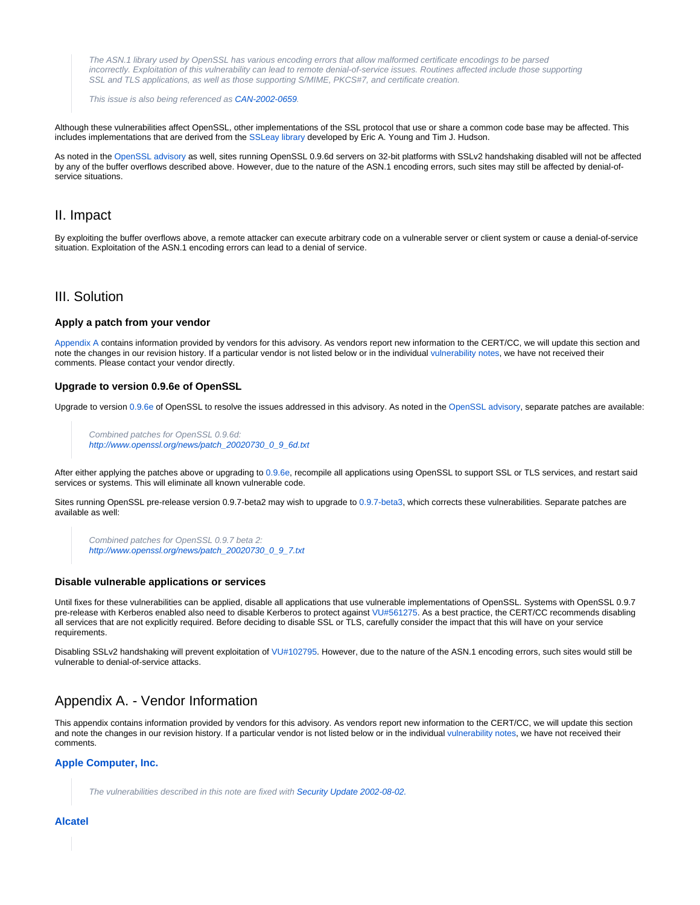The ASN.1 library used by OpenSSL has various encoding errors that allow malformed certificate encodings to be parsed incorrectly. Exploitation of this vulnerability can lead to remote denial-of-service issues. Routines affected include those supporting SSL and TLS applications, as well as those supporting S/MIME, PKCS#7, and certificate creation.

This issue is also being referenced as [CAN-2002-0659.](http://cve.mitre.org/cgi-bin/cvename.cgi?name=CAN-2002-0659)

Although these vulnerabilities affect OpenSSL, other implementations of the SSL protocol that use or share a common code base may be affected. This includes implementations that are derived from the [SSLeay library](http://www.columbia.edu/~ariel/ssleay/) developed by Eric A. Young and Tim J. Hudson.

As noted in the [OpenSSL advisory](http://www.openssl.org/news/secadv_20020730.txt) as well, sites running OpenSSL 0.9.6d servers on 32-bit platforms with SSLv2 handshaking disabled will not be affected by any of the buffer overflows described above. However, due to the nature of the ASN.1 encoding errors, such sites may still be affected by denial-ofservice situations.

# II. Impact

By exploiting the buffer overflows above, a remote attacker can execute arbitrary code on a vulnerable server or client system or cause a denial-of-service situation. Exploitation of the ASN.1 encoding errors can lead to a denial of service.

# III. Solution

#### **Apply a patch from your vendor**

[Appendix A](#page-1-0) contains information provided by vendors for this advisory. As vendors report new information to the CERT/CC, we will update this section and note the changes in our revision history. If a particular vendor is not listed below or in the individual [vulnerability notes,](http://www.kb.cert.org/vuls/) we have not received their comments. Please contact your vendor directly.

#### **Upgrade to version 0.9.6e of OpenSSL**

Upgrade to version [0.9.6e](http://www.openssl.org/source/) of OpenSSL to resolve the issues addressed in this advisory. As noted in the [OpenSSL advisory](http://www.openssl.org/news/secadv_20020730.txt), separate patches are available:

Combined patches for OpenSSL 0.9.6d: [http://www.openssl.org/news/patch\\_20020730\\_0\\_9\\_6d.txt](http://www.openssl.org/news/patch_20020730_0_9_6d.txt)

After either applying the patches above or upgrading to [0.9.6e,](http://www.openssl.org/source/) recompile all applications using OpenSSL to support SSL or TLS services, and restart said services or systems. This will eliminate all known vulnerable code.

Sites running OpenSSL pre-release version 0.9.7-beta2 may wish to upgrade to [0.9.7-beta3](http://www.openssl.org/source/), which corrects these vulnerabilities. Separate patches are available as well:

```
Combined patches for OpenSSL 0.9.7 beta 2:
http://www.openssl.org/news/patch_20020730_0_9_7.txt
```
#### **Disable vulnerable applications or services**

Until fixes for these vulnerabilities can be applied, disable all applications that use vulnerable implementations of OpenSSL. Systems with OpenSSL 0.9.7 pre-release with Kerberos enabled also need to disable Kerberos to protect against [VU#561275](http://www.kb.cert.org/vuls/id/561275). As a best practice, the CERT/CC recommends disabling all services that are not explicitly required. Before deciding to disable SSL or TLS, carefully consider the impact that this will have on your service requirements.

Disabling SSLv2 handshaking will prevent exploitation of [VU#102795](http://www.kb.cert.org/vuls/id/102795). However, due to the nature of the ASN.1 encoding errors, such sites would still be vulnerable to denial-of-service attacks.

# <span id="page-1-0"></span>Appendix A. - Vendor Information

This appendix contains information provided by vendors for this advisory. As vendors report new information to the CERT/CC, we will update this section and note the changes in our revision history. If a particular vendor is not listed below or in the individual [vulnerability notes,](http://www.kb.cert.org/vuls/) we have not received their comments.

#### **Apple Computer, Inc.**

The vulnerabilities described in this note are fixed with [Security Update 2002-08-02.](http://www.info.apple.com/usen/security/security_updates.html)

#### **Alcatel**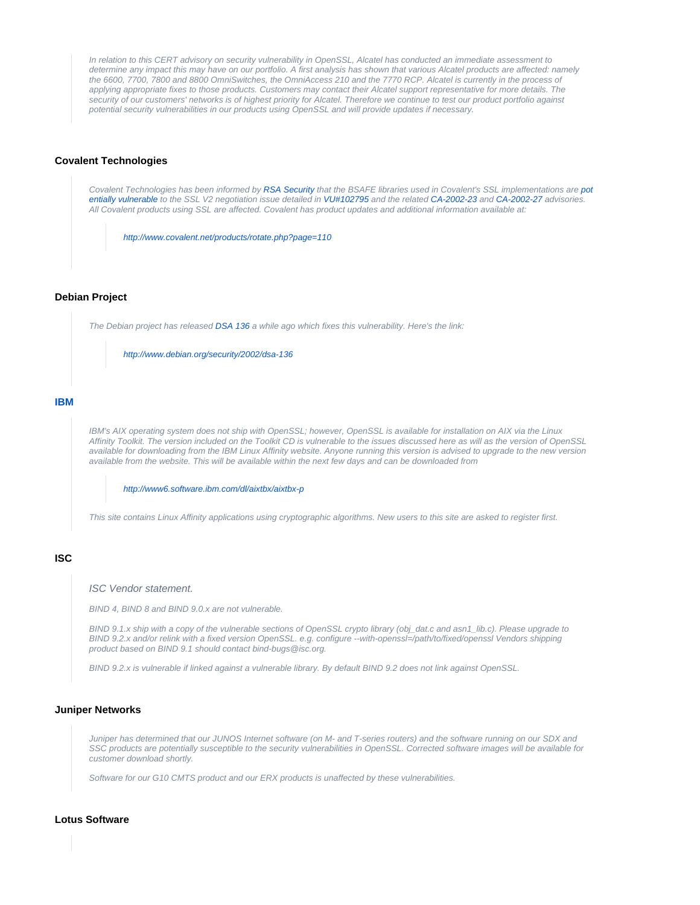In relation to this CERT advisory on security vulnerability in OpenSSL, Alcatel has conducted an immediate assessment to determine any impact this may have on our portfolio. A first analysis has shown that various Alcatel products are affected: namely the 6600, 7700, 7800 and 8800 OmniSwitches, the OmniAccess 210 and the 7770 RCP. Alcatel is currently in the process of applying appropriate fixes to those products. Customers may contact their Alcatel support representative for more details. The security of our customers' networks is of highest priority for Alcatel. Therefore we continue to test our product portfolio against potential security vulnerabilities in our products using OpenSSL and will provide updates if necessary.

## <span id="page-2-3"></span>**Covalent Technologies**

Covalent Technologies has been informed by [RSA Security](http://www.rsasecurity.com/products/bsafe/bulletins/BSAFE_SSL_Products_Security_Bulletin_Aug_8_2002.pdf) that the BSAFE libraries used in Covalent's SSL implementations are [pot](http://www.kb.cert.org/vuls/id/JSHA-5DXQLX) [entially vulnerable](http://www.kb.cert.org/vuls/id/JSHA-5DXQLX) to the SSL V2 negotiation issue detailed in [VU#102795](http://www.kb.cert.org/vuls/id/102795) and the related [CA-2002-23](http://www.cert.org/advisories/CA-2002-23) and [CA-2002-27](http://www.cert.org/advisories/CA-2002-27) advisories. All Covalent products using SSL are affected. Covalent has product updates and additional information available at:

<http://www.covalent.net/products/rotate.php?page=110>

#### <span id="page-2-4"></span>**Debian Project**

The Debian project has released [DSA 136](http://www.debian.org/security/2002/dsa-136) a while ago which fixes this vulnerability. Here's the link:

<http://www.debian.org/security/2002/dsa-136>

## **IBM**

IBM's AIX operating system does not ship with OpenSSL; however, OpenSSL is available for installation on AIX via the Linux Affinity Toolkit. The version included on the Toolkit CD is vulnerable to the issues discussed here as will as the version of OpenSSL available for downloading from the IBM Linux Affinity website. Anyone running this version is advised to upgrade to the new version available from the website. This will be available within the next few days and can be downloaded from

<http://www6.software.ibm.com/dl/aixtbx/aixtbx-p>

This site contains Linux Affinity applications using cryptographic algorithms. New users to this site are asked to register first.

# <span id="page-2-1"></span>**ISC**

ISC Vendor statement.

BIND 4, BIND 8 and BIND 9.0.x are not vulnerable.

BIND 9.1.x ship with a copy of the vulnerable sections of OpenSSL crypto library (obj\_dat.c and asn1\_lib.c). Please upgrade to BIND 9.2.x and/or relink with a fixed version OpenSSL. e.g. configure --with-openssl=/path/to/fixed/openssl Vendors shipping product based on BIND 9.1 should contact bind-bugs@isc.org.

BIND 9.2.x is vulnerable if linked against a vulnerable library. By default BIND 9.2 does not link against OpenSSL.

#### <span id="page-2-2"></span>**Juniper Networks**

Juniper has determined that our JUNOS Internet software (on M- and T-series routers) and the software running on our SDX and SSC products are potentially susceptible to the security vulnerabilities in OpenSSL. Corrected software images will be available for customer download shortly.

Software for our G10 CMTS product and our ERX products is unaffected by these vulnerabilities.

#### <span id="page-2-0"></span>**Lotus Software**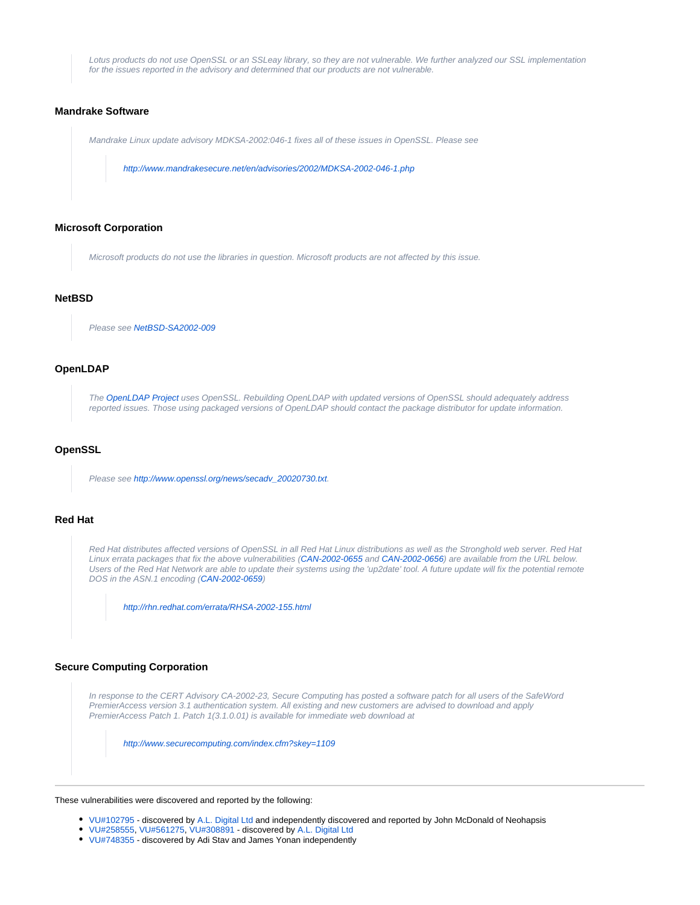Lotus products do not use OpenSSL or an SSLeay library, so they are not vulnerable. We further analyzed our SSL implementation for the issues reported in the advisory and determined that our products are not vulnerable.

## <span id="page-3-1"></span>**Mandrake Software**

Mandrake Linux update advisory MDKSA-2002:046-1 fixes all of these issues in OpenSSL. Please see

<http://www.mandrakesecure.net/en/advisories/2002/MDKSA-2002-046-1.php>

#### <span id="page-3-2"></span>**Microsoft Corporation**

Microsoft products do not use the libraries in question. Microsoft products are not affected by this issue.

## <span id="page-3-0"></span>**NetBSD**

Please see [NetBSD-SA2002-009](ftp://ftp.netbsd.org/pub/NetBSD/security/advisories/NetBSD-SA2002-009.txt.asc)

## **OpenLDAP**

The [OpenLDAP Project](http://www.openldap.org/) uses OpenSSL. Rebuilding OpenLDAP with updated versions of OpenSSL should adequately address reported issues. Those using packaged versions of OpenLDAP should contact the package distributor for update information.

## **OpenSSL**

Please see [http://www.openssl.org/news/secadv\\_20020730.txt](http://www.openssl.org/news/secadv_20020730.txt).

# **Red Hat**

Red Hat distributes affected versions of OpenSSL in all Red Hat Linux distributions as well as the Stronghold web server. Red Hat Linux errata packages that fix the above vulnerabilities [\(CAN-2002-0655](http://cve.mitre.org/cgi-bin/cvename.cgi?name=CAN-2002-0655) and CAN-2002-0656) are available from the URL below. Users of the Red Hat Network are able to update their systems using the 'up2date' tool. A future update will fix the potential remote DOS in the ASN.1 encoding ([CAN-2002-0659\)](http://cve.mitre.org/cgi-bin/cvename.cgi?name=CAN-2002-0659)

<http://rhn.redhat.com/errata/RHSA-2002-155.html>

## <span id="page-3-3"></span>**Secure Computing Corporation**

In response to the CERT Advisory CA-2002-23, Secure Computing has posted a software patch for all users of the SafeWord PremierAccess version 3.1 authentication system. All existing and new customers are advised to download and apply PremierAccess Patch 1. Patch 1(3.1.0.01) is available for immediate web download at

<http://www.securecomputing.com/index.cfm?skey=1109>

#### These vulnerabilities were discovered and reported by the following:

- [VU#102795](http://www.kb.cert.org/vuls/id/102795)  discovered by [A.L. Digital Ltd](http://www.aldigital.co.uk/) and independently discovered and reported by John McDonald of Neohapsis
- [VU#258555,](http://www.kb.cert.org/vuls/id/258555) [VU#561275](http://www.kb.cert.org/vuls/id/561275), [VU#308891](http://www.kb.cert.org/vuls/id/308891) discovered by [A.L. Digital Ltd](http://www.aldigital.co.uk/)
- [VU#748355](http://www.kb.cert.org/vuls/id/748355)  discovered by Adi Stav and James Yonan independently